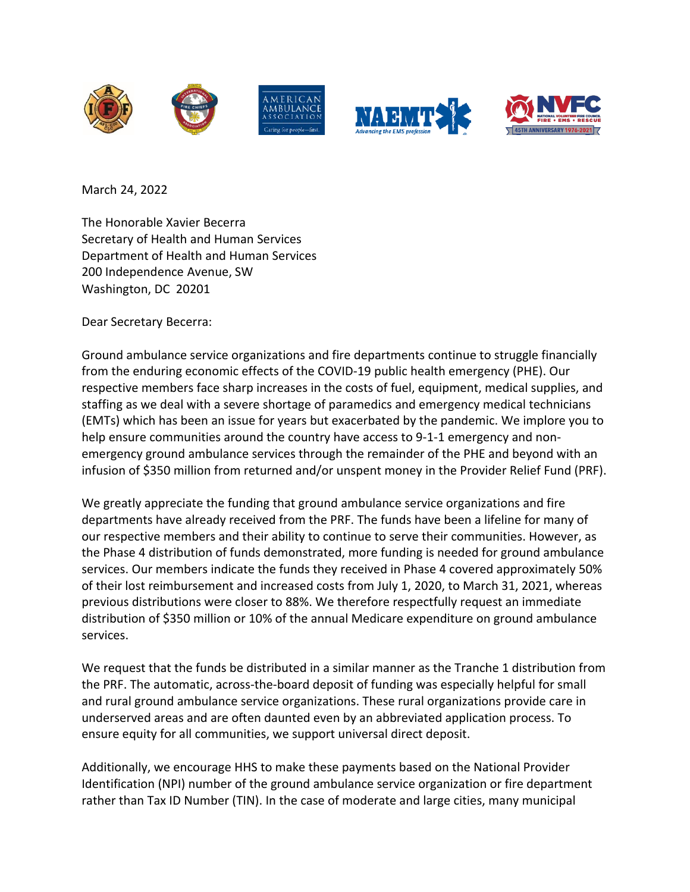





March 24, 2022

The Honorable Xavier Becerra Secretary of Health and Human Services Department of Health and Human Services 200 Independence Avenue, SW Washington, DC 20201

Dear Secretary Becerra:

Ground ambulance service organizations and fire departments continue to struggle financially from the enduring economic effects of the COVID-19 public health emergency (PHE). Our respective members face sharp increases in the costs of fuel, equipment, medical supplies, and staffing as we deal with a severe shortage of paramedics and emergency medical technicians (EMTs) which has been an issue for years but exacerbated by the pandemic. We implore you to help ensure communities around the country have access to 9-1-1 emergency and nonemergency ground ambulance services through the remainder of the PHE and beyond with an infusion of \$350 million from returned and/or unspent money in the Provider Relief Fund (PRF).

We greatly appreciate the funding that ground ambulance service organizations and fire departments have already received from the PRF. The funds have been a lifeline for many of our respective members and their ability to continue to serve their communities. However, as the Phase 4 distribution of funds demonstrated, more funding is needed for ground ambulance services. Our members indicate the funds they received in Phase 4 covered approximately 50% of their lost reimbursement and increased costs from July 1, 2020, to March 31, 2021, whereas previous distributions were closer to 88%. We therefore respectfully request an immediate distribution of \$350 million or 10% of the annual Medicare expenditure on ground ambulance services.

We request that the funds be distributed in a similar manner as the Tranche 1 distribution from the PRF. The automatic, across-the-board deposit of funding was especially helpful for small and rural ground ambulance service organizations. These rural organizations provide care in underserved areas and are often daunted even by an abbreviated application process. To ensure equity for all communities, we support universal direct deposit.

Additionally, we encourage HHS to make these payments based on the National Provider Identification (NPI) number of the ground ambulance service organization or fire department rather than Tax ID Number (TIN). In the case of moderate and large cities, many municipal